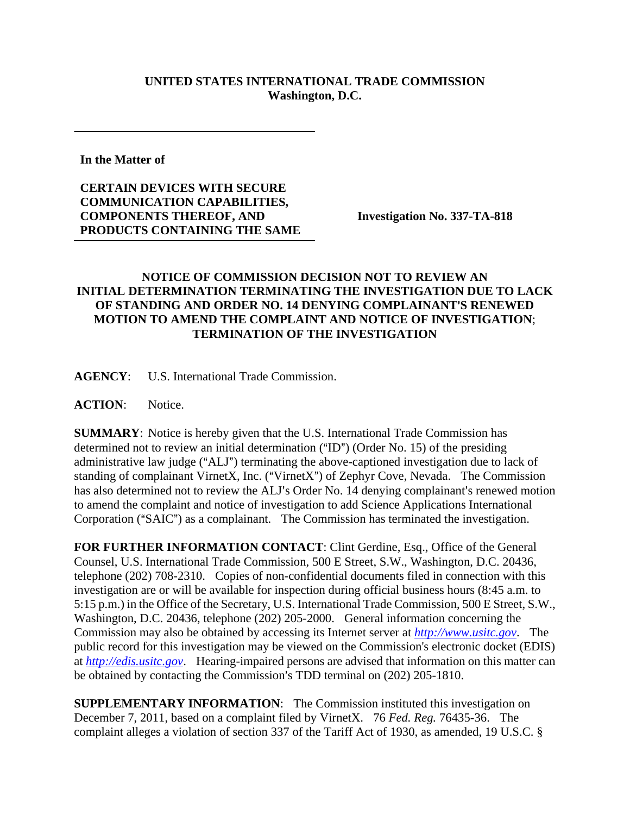## **UNITED STATES INTERNATIONAL TRADE COMMISSION Washington, D.C.**

**In the Matter of** 

## **CERTAIN DEVICES WITH SECURE COMMUNICATION CAPABILITIES, COMPONENTS THEREOF, AND PRODUCTS CONTAINING THE SAME**

**Investigation No. 337-TA-818** 

## **NOTICE OF COMMISSION DECISION NOT TO REVIEW AN INITIAL DETERMINATION TERMINATING THE INVESTIGATION DUE TO LACK OF STANDING AND ORDER NO. 14 DENYING COMPLAINANT'S RENEWED MOTION TO AMEND THE COMPLAINT AND NOTICE OF INVESTIGATION**; **TERMINATION OF THE INVESTIGATION**

**AGENCY**: U.S. International Trade Commission.

**ACTION**: Notice.

**SUMMARY**: Notice is hereby given that the U.S. International Trade Commission has determined not to review an initial determination  $("ID")$  (Order No. 15) of the presiding administrative law judge ("ALJ") terminating the above-captioned investigation due to lack of standing of complainant VirnetX, Inc. ("VirnetX") of Zephyr Cove, Nevada. The Commission has also determined not to review the ALJ's Order No. 14 denying complainant's renewed motion to amend the complaint and notice of investigation to add Science Applications International Corporation ("SAIC") as a complainant. The Commission has terminated the investigation.

**FOR FURTHER INFORMATION CONTACT**: Clint Gerdine, Esq., Office of the General Counsel, U.S. International Trade Commission, 500 E Street, S.W., Washington, D.C. 20436, telephone (202) 708-2310. Copies of non-confidential documents filed in connection with this investigation are or will be available for inspection during official business hours (8:45 a.m. to 5:15 p.m.) in the Office of the Secretary, U.S. International Trade Commission, 500 E Street, S.W., Washington, D.C. 20436, telephone (202) 205-2000. General information concerning the Commission may also be obtained by accessing its Internet server at *http://www.usitc.gov*. The public record for this investigation may be viewed on the Commission's electronic docket (EDIS) at *http://edis.usitc.gov*. Hearing-impaired persons are advised that information on this matter can be obtained by contacting the Commission's TDD terminal on (202) 205-1810.

**SUPPLEMENTARY INFORMATION**: The Commission instituted this investigation on December 7, 2011, based on a complaint filed by VirnetX. 76 *Fed. Reg.* 76435-36. The complaint alleges a violation of section 337 of the Tariff Act of 1930, as amended, 19 U.S.C. §